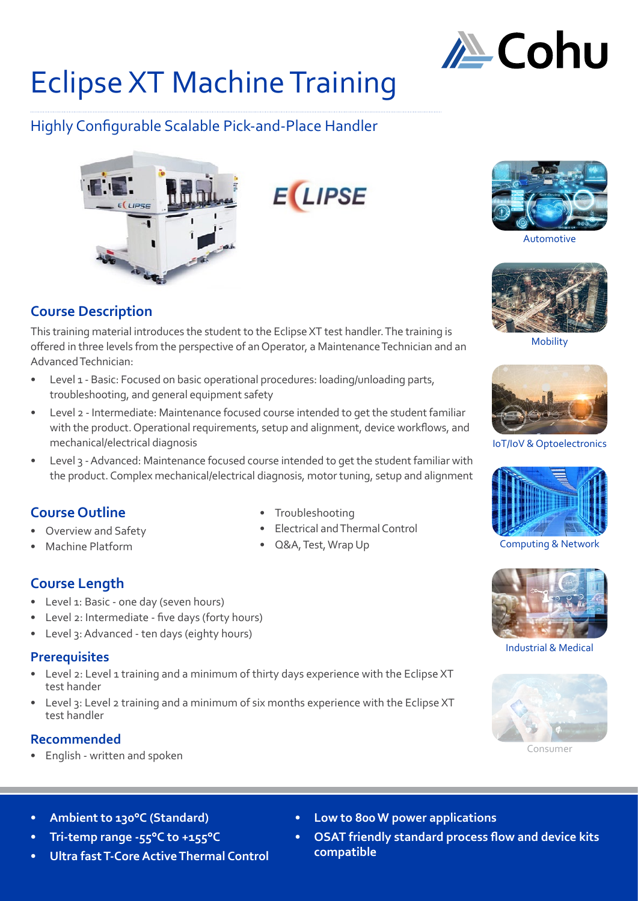

# Eclipse XT Machine Training

# Highly Configurable Scalable Pick-and-Place Handler



**E LIPSE** 



Automotive



Mobility



IoT/IoV & Optoelectronics



Computing & Network



Industrial & Medical



Consumer

**Course Description**

This training material introduces the student to the Eclipse XT test handler. The training is offered in three levels from the perspective of an Operator, a Maintenance Technician and an Advanced Technician:

- Level 1 Basic: Focused on basic operational procedures: loading/unloading parts, troubleshooting, and general equipment safety
- Level 2 Intermediate: Maintenance focused course intended to get the student familiar with the product. Operational requirements, setup and alignment, device workflows, and mechanical/electrical diagnosis
- Level 3 Advanced: Maintenance focused course intended to get the student familiar with the product. Complex mechanical/electrical diagnosis, motor tuning, setup and alignment

# **Course Outline**

- Overview and Safety
- Machine Platform

# **Course Length**

- Level 1: Basic one day (seven hours)
- Level 2: Intermediate five days (forty hours)
- Level 3: Advanced ten days (eighty hours)

#### **Prerequisites**

- Level 2: Level 1 training and a minimum of thirty days experience with the Eclipse XT test hander
- Level 3: Level 2 training and a minimum of six months experience with the Eclipse XT test handler

# **Recommended**

• English - written and spoken

- **• Low to 800 W power applications**
- **• OSAT friendly standard process flow and device kits compatible**
- **• Ambient to 130°C (Standard)**
- **• Tri-temp range -55°C to +155°C**
- **• Ultra fast T-Core Active Thermal Control**
- Troubleshooting
- Electrical and Thermal Control
- Q&A, Test, Wrap Up
- 
-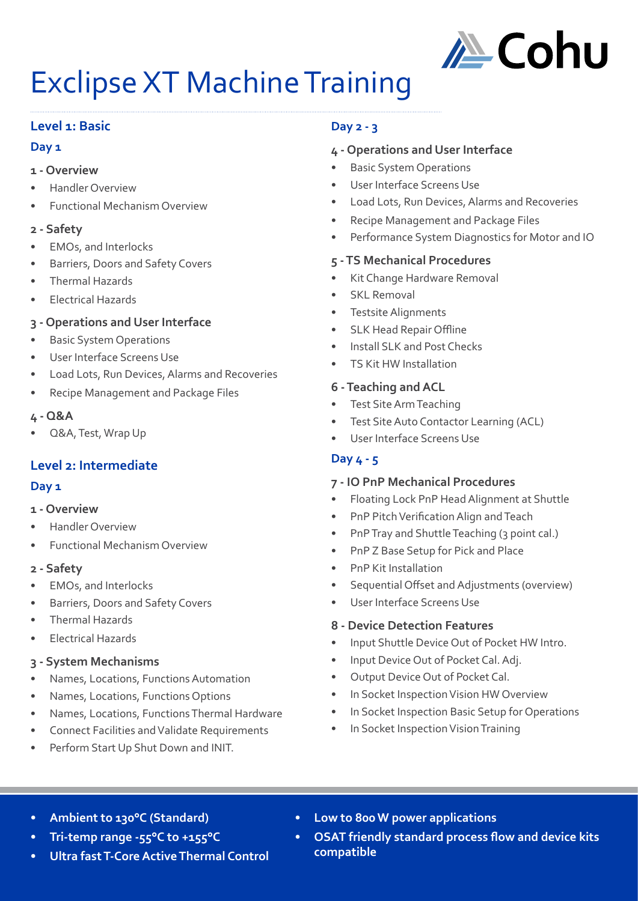

# Exclipse XT Machine Training

#### **Level 1: Basic**

#### **Day 1**

#### **1 - Overview**

- Handler Overview
- Functional Mechanism Overview

#### **2 - Safety**

- EMOs, and Interlocks
- Barriers, Doors and Safety Covers
- Thermal Hazards
- Electrical Hazards

# **3 - Operations and User Interface**

- **Basic System Operations**
- User Interface Screens Use
- Load Lots, Run Devices, Alarms and Recoveries
- Recipe Management and Package Files

#### **4 - Q&A**

• Q&A, Test, Wrap Up

# **Level 2: Intermediate**

# **Day 1**

- **1 Overview**
- Handler Overview
- Functional Mechanism Overview

# **2 - Safety**

- EMOs, and Interlocks
- Barriers, Doors and Safety Covers
- Thermal Hazards
- Electrical Hazards

#### **3 - System Mechanisms**

- Names, Locations, Functions Automation
- Names, Locations, Functions Options
- Names, Locations, Functions Thermal Hardware
- Connect Facilities and Validate Requirements
- Perform Start Up Shut Down and INIT.

# **Day 2 - 3**

# **4 - Operations and User Interface**

- **Basic System Operations**
- User Interface Screens Use
- Load Lots, Run Devices, Alarms and Recoveries
- Recipe Management and Package Files
- Performance System Diagnostics for Motor and IO

#### **5 - TS Mechanical Procedures**

- Kit Change Hardware Removal
- **SKL Removal**
- Testsite Alignments
- SLK Head Repair Offline
- Install SLK and Post Checks
- TS Kit HW Installation

#### **6 - Teaching and ACL**

- Test Site Arm Teaching
- Test Site Auto Contactor Learning (ACL)
- User Interface Screens Use

# **Day 4 - 5**

# **7 - IO PnP Mechanical Procedures**

- Floating Lock PnP Head Alignment at Shuttle
- PnP Pitch Verification Align and Teach
- PnP Tray and Shuttle Teaching (3 point cal.)
- PnP Z Base Setup for Pick and Place
- PnP Kit Installation
- Sequential Offset and Adjustments (overview)
- User Interface Screens Use

#### **8 - Device Detection Features**

- Input Shuttle Device Out of Pocket HW Intro.
- Input Device Out of Pocket Cal. Adj.
- Output Device Out of Pocket Cal.
- In Socket Inspection Vision HW Overview
- In Socket Inspection Basic Setup for Operations
- In Socket Inspection Vision Training

- **• Ambient to 130°C (Standard)**
- **• Tri-temp range -55°C to +155°C**
- **• Ultra fast T-Core Active Thermal Control**
- **• Low to 800 W power applications**
- **• OSAT friendly standard process flow and device kits compatible**